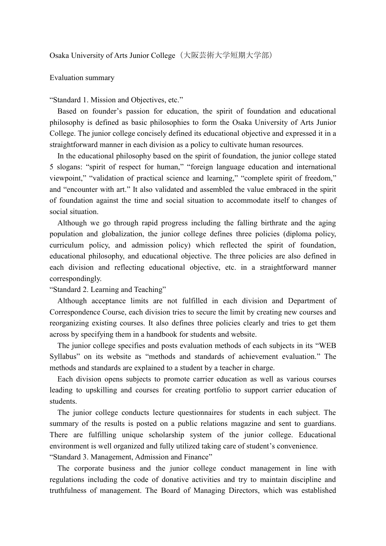## Evaluation summary

## "Standard 1. Mission and Objectives, etc."

Based on founder's passion for education, the spirit of foundation and educational philosophy is defined as basic philosophies to form the Osaka University of Arts Junior College. The junior college concisely defined its educational objective and expressed it in a straightforward manner in each division as a policy to cultivate human resources.

In the educational philosophy based on the spirit of foundation, the junior college stated 5 slogans: "spirit of respect for human," "foreign language education and international viewpoint," "validation of practical science and learning," "complete spirit of freedom," and "encounter with art." It also validated and assembled the value embraced in the spirit of foundation against the time and social situation to accommodate itself to changes of social situation.

Although we go through rapid progress including the falling birthrate and the aging population and globalization, the junior college defines three policies (diploma policy, curriculum policy, and admission policy) which reflected the spirit of foundation, educational philosophy, and educational objective. The three policies are also defined in each division and reflecting educational objective, etc. in a straightforward manner correspondingly.

"Standard 2. Learning and Teaching"

Although acceptance limits are not fulfilled in each division and Department of Correspondence Course, each division tries to secure the limit by creating new courses and reorganizing existing courses. It also defines three policies clearly and tries to get them across by specifying them in a handbook for students and website.

The junior college specifies and posts evaluation methods of each subjects in its "WEB Syllabus" on its website as "methods and standards of achievement evaluation." The methods and standards are explained to a student by a teacher in charge.

Each division opens subjects to promote carrier education as well as various courses leading to upskilling and courses for creating portfolio to support carrier education of students.

The junior college conducts lecture questionnaires for students in each subject. The summary of the results is posted on a public relations magazine and sent to guardians. There are fulfilling unique scholarship system of the junior college. Educational environment is well organized and fully utilized taking care of student's convenience. "Standard 3. Management, Admission and Finance"

The corporate business and the junior college conduct management in line with regulations including the code of donative activities and try to maintain discipline and truthfulness of management. The Board of Managing Directors, which was established